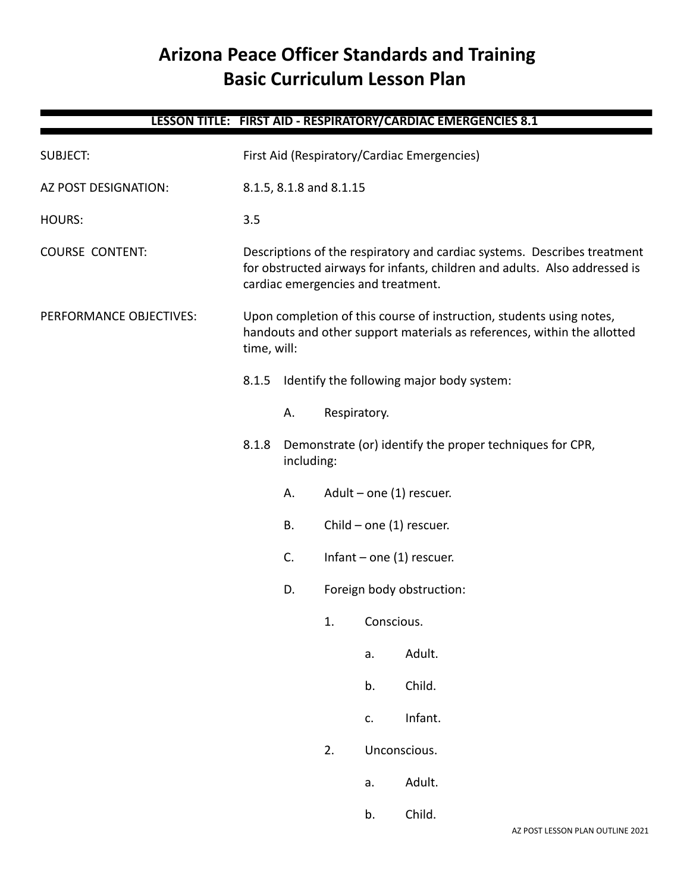# **Arizona Peace Officer Standards and Training Basic Curriculum Lesson Plan**

# **LESSON TITLE: FIRST AID - RESPIRATORY/CARDIAC EMERGENCIES 8.1** SUBJECT: First Aid (Respiratory/Cardiac Emergencies) AZ POST DESIGNATION: 8.1.5, 8.1.8 and 8.1.15 HOURS: 3.5 COURSE CONTENT: Descriptions of the respiratory and cardiac systems. Describes treatment for obstructed airways for infants, children and adults. Also addressed is cardiac emergencies and treatment. PERFORMANCE OBJECTIVES: Upon completion of this course of instruction, students using notes, handouts and other support materials as references, within the allotted time, will: 8.1.5 Identify the following major body system: A. Respiratory. 8.1.8 Demonstrate (or) identify the proper techniques for CPR, including: A. Adult – one (1) rescuer. B. Child – one (1) rescuer. C. Infant – one (1) rescuer. D. Foreign body obstruction: 1. Conscious. a. Adult. b. Child. c. Infant. 2. Unconscious. a. Adult. b. Child.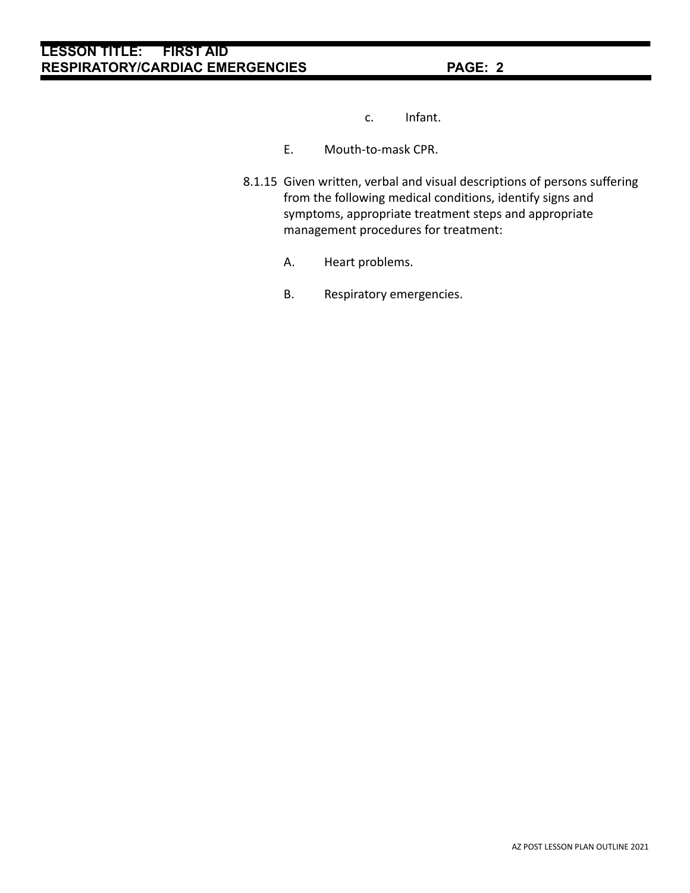- c. Infant.
- E. Mouth-to-mask CPR.
- 8.1.15 Given written, verbal and visual descriptions of persons suffering from the following medical conditions, identify signs and symptoms, appropriate treatment steps and appropriate management procedures for treatment:
	- A. Heart problems.
	- B. Respiratory emergencies.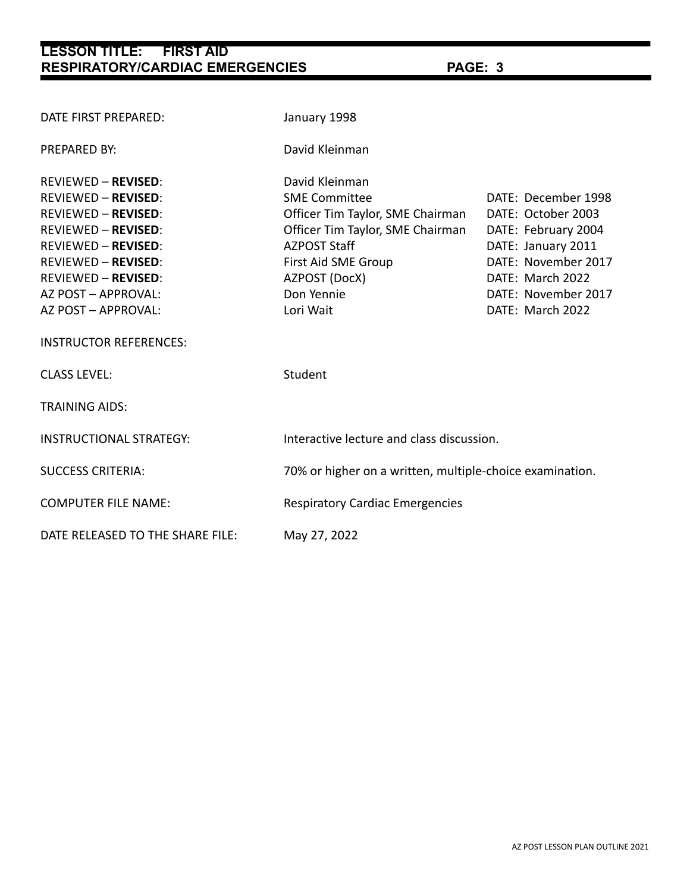| DATE FIRST PREPARED:                                                                                                                                                                                                                                         | January 1998                                                                                                                                                                                             |                                                                                                                                                                              |
|--------------------------------------------------------------------------------------------------------------------------------------------------------------------------------------------------------------------------------------------------------------|----------------------------------------------------------------------------------------------------------------------------------------------------------------------------------------------------------|------------------------------------------------------------------------------------------------------------------------------------------------------------------------------|
| <b>PREPARED BY:</b>                                                                                                                                                                                                                                          | David Kleinman                                                                                                                                                                                           |                                                                                                                                                                              |
| <b>REVIEWED - REVISED:</b><br><b>REVIEWED - REVISED:</b><br><b>REVIEWED - REVISED:</b><br><b>REVIEWED - REVISED:</b><br><b>REVIEWED - REVISED:</b><br><b>REVIEWED - REVISED:</b><br><b>REVIEWED - REVISED:</b><br>AZ POST - APPROVAL:<br>AZ POST - APPROVAL: | David Kleinman<br><b>SME Committee</b><br>Officer Tim Taylor, SME Chairman<br>Officer Tim Taylor, SME Chairman<br><b>AZPOST Staff</b><br>First Aid SME Group<br>AZPOST (DocX)<br>Don Yennie<br>Lori Wait | DATE: December 1998<br>DATE: October 2003<br>DATE: February 2004<br>DATE: January 2011<br>DATE: November 2017<br>DATE: March 2022<br>DATE: November 2017<br>DATE: March 2022 |
| <b>INSTRUCTOR REFERENCES:</b>                                                                                                                                                                                                                                |                                                                                                                                                                                                          |                                                                                                                                                                              |
| <b>CLASS LEVEL:</b>                                                                                                                                                                                                                                          | Student                                                                                                                                                                                                  |                                                                                                                                                                              |
| <b>TRAINING AIDS:</b>                                                                                                                                                                                                                                        |                                                                                                                                                                                                          |                                                                                                                                                                              |
| <b>INSTRUCTIONAL STRATEGY:</b>                                                                                                                                                                                                                               | Interactive lecture and class discussion.                                                                                                                                                                |                                                                                                                                                                              |
| <b>SUCCESS CRITERIA:</b>                                                                                                                                                                                                                                     | 70% or higher on a written, multiple-choice examination.                                                                                                                                                 |                                                                                                                                                                              |
| <b>COMPUTER FILE NAME:</b>                                                                                                                                                                                                                                   | <b>Respiratory Cardiac Emergencies</b>                                                                                                                                                                   |                                                                                                                                                                              |
| DATE RELEASED TO THE SHARE FILE:                                                                                                                                                                                                                             | May 27, 2022                                                                                                                                                                                             |                                                                                                                                                                              |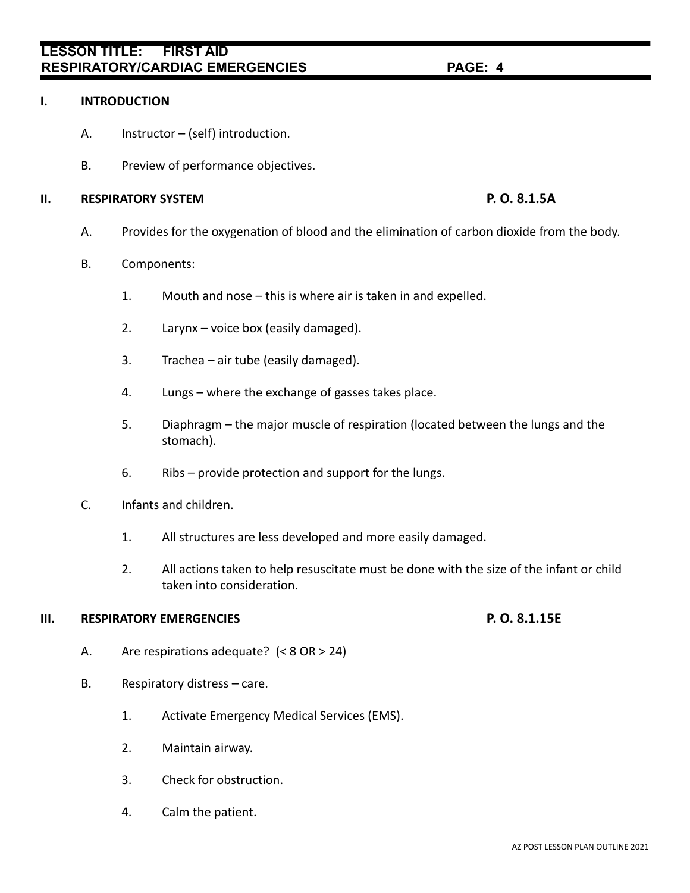- A. Instructor (self) introduction.
	- B. Preview of performance objectives.

### **II. RESPIRATORY SYSTEM P. O. 8.1.5A**

B. Components:

**I. INTRODUCTION**

- 1. Mouth and nose this is where air is taken in and expelled.
- 2. Larynx voice box (easily damaged).
- 3. Trachea air tube (easily damaged).
- 4. Lungs where the exchange of gasses takes place.
- 5. Diaphragm the major muscle of respiration (located between the lungs and the stomach).

A. Provides for the oxygenation of blood and the elimination of carbon dioxide from the body.

- 6. Ribs provide protection and support for the lungs.
- C. Infants and children.
	- 1. All structures are less developed and more easily damaged.
	- 2. All actions taken to help resuscitate must be done with the size of the infant or child taken into consideration.

### **III. RESPIRATORY EMERGENCIES P. O. 8.1.15E**

- A. Are respirations adequate? (< 8 OR > 24)
- B. Respiratory distress care.
	- 1. Activate Emergency Medical Services (EMS).
	- 2. Maintain airway.
	- 3. Check for obstruction.
	- 4. Calm the patient.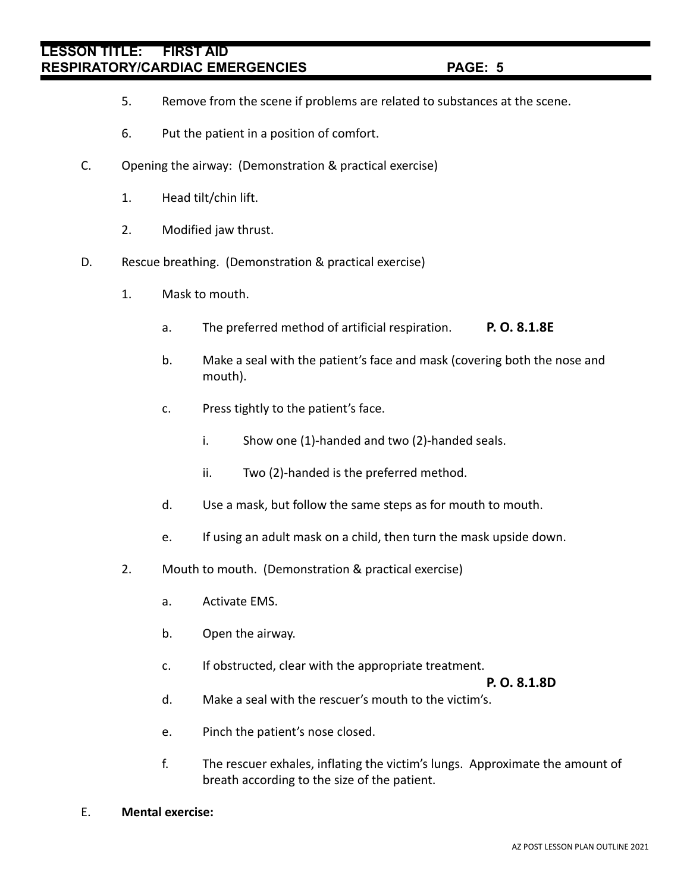- 5. Remove from the scene if problems are related to substances at the scene.
- 6. Put the patient in a position of comfort.
- C. Opening the airway: (Demonstration & practical exercise)
	- 1. Head tilt/chin lift.
	- 2. Modified jaw thrust.
- D. Rescue breathing. (Demonstration & practical exercise)
	- 1. Mask to mouth.
		- a. The preferred method of artificial respiration. **P. O. 8.1.8E**
		- b. Make a seal with the patient's face and mask (covering both the nose and mouth).
		- c. Press tightly to the patient's face.
			- i. Show one (1)-handed and two (2)-handed seals.
			- ii. Two (2)-handed is the preferred method.
		- d. Use a mask, but follow the same steps as for mouth to mouth.
		- e. If using an adult mask on a child, then turn the mask upside down.
	- 2. Mouth to mouth. (Demonstration & practical exercise)
		- a. Activate EMS.
		- b. Open the airway.
		- c. If obstructed, clear with the appropriate treatment.

**P. O. 8.1.8D**

- d. Make a seal with the rescuer's mouth to the victim's.
- e. Pinch the patient's nose closed.
- f. The rescuer exhales, inflating the victim's lungs. Approximate the amount of breath according to the size of the patient.
- E. **Mental exercise:**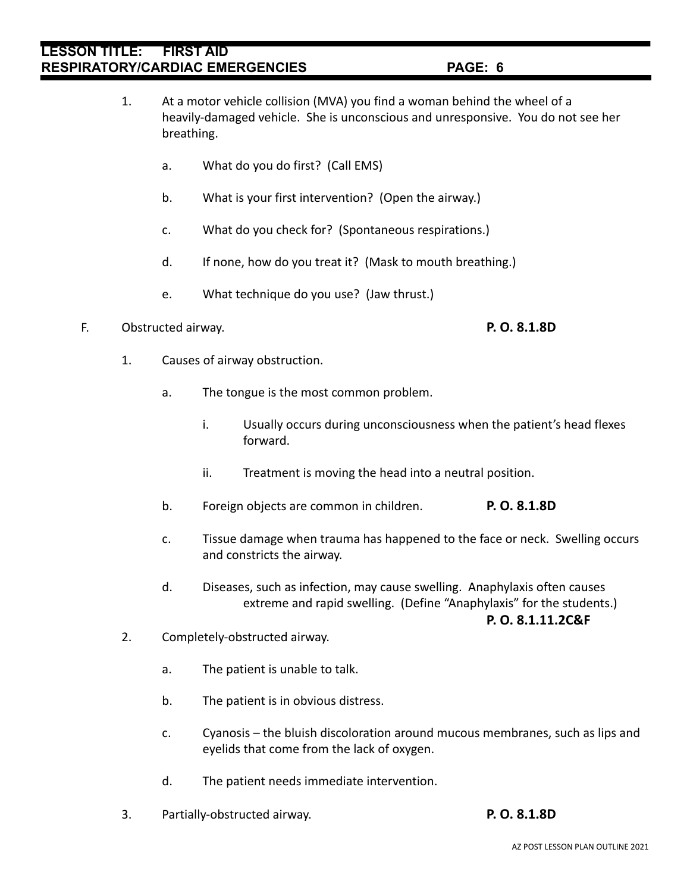- 1. At a motor vehicle collision (MVA) you find a woman behind the wheel of a heavily-damaged vehicle. She is unconscious and unresponsive. You do not see her breathing.
	- a. What do you do first? (Call EMS)
	- b. What is your first intervention? (Open the airway.)
	- c. What do you check for? (Spontaneous respirations.)
	- d. If none, how do you treat it? (Mask to mouth breathing.)
	- e. What technique do you use? (Jaw thrust.)

### F. Obstructed airway. **P. O. 8.1.8D**

- 1. Causes of airway obstruction.
	- a. The tongue is the most common problem.
		- i. Usually occurs during unconsciousness when the patient's head flexes forward.
		- ii. Treatment is moving the head into a neutral position.
	- b. Foreign objects are common in children. **P. O. 8.1.8D**
	- c. Tissue damage when trauma has happened to the face or neck. Swelling occurs and constricts the airway.
	- d. Diseases, such as infection, may cause swelling. Anaphylaxis often causes extreme and rapid swelling. (Define "Anaphylaxis" for the students.)

**P. O. 8.1.11.2C&F**

- 2. Completely-obstructed airway.
	- a. The patient is unable to talk.
	- b. The patient is in obvious distress.
	- c. Cyanosis the bluish discoloration around mucous membranes, such as lips and eyelids that come from the lack of oxygen.
	- d. The patient needs immediate intervention.
- 3. Partially-obstructed airway. **P. O. 8.1.8D**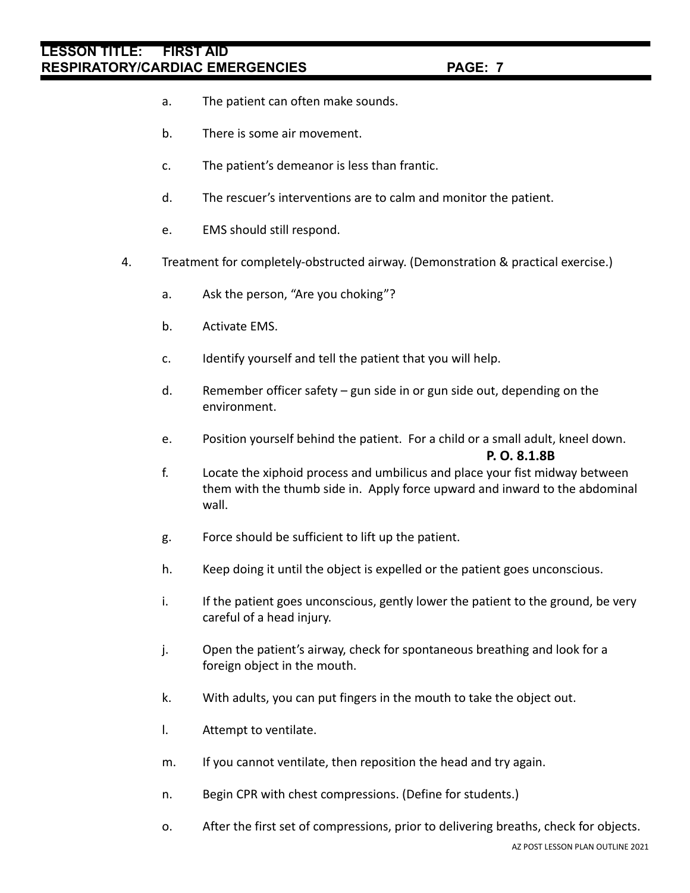- a. The patient can often make sounds.
- b. There is some air movement.
- c. The patient's demeanor is less than frantic.
- d. The rescuer's interventions are to calm and monitor the patient.
- e. EMS should still respond.
- 4. Treatment for completely-obstructed airway. (Demonstration & practical exercise.)
	- a. Ask the person, "Are you choking"?
	- b. Activate EMS.
	- c. Identify yourself and tell the patient that you will help.
	- d. Remember officer safety gun side in or gun side out, depending on the environment.
	- e. Position yourself behind the patient. For a child or a small adult, kneel down. **P. O. 8.1.8B**
	- f. Locate the xiphoid process and umbilicus and place your fist midway between them with the thumb side in. Apply force upward and inward to the abdominal wall.
	- g. Force should be sufficient to lift up the patient.
	- h. Keep doing it until the object is expelled or the patient goes unconscious.
	- i. If the patient goes unconscious, gently lower the patient to the ground, be very careful of a head injury.
	- j. Open the patient's airway, check for spontaneous breathing and look for a foreign object in the mouth.
	- k. With adults, you can put fingers in the mouth to take the object out.
	- l. Attempt to ventilate.
	- m. If you cannot ventilate, then reposition the head and try again.
	- n. Begin CPR with chest compressions. (Define for students.)
	- o. After the first set of compressions, prior to delivering breaths, check for objects.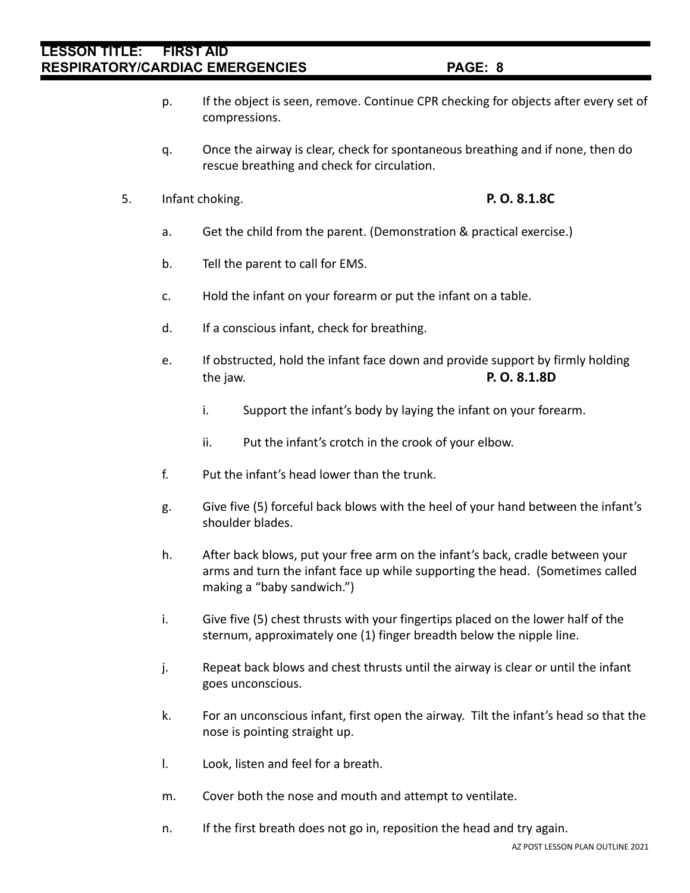### AZ POST LESSON PLAN OUTLINE 2021

- p. If the object is seen, remove. Continue CPR checking for objects after every set of compressions.
- q. Once the airway is clear, check for spontaneous breathing and if none, then do rescue breathing and check for circulation.
- 5. Infant choking. **P. O. 8.1.8C**
	- a. Get the child from the parent. (Demonstration & practical exercise.)
	- b. Tell the parent to call for EMS.
	- c. Hold the infant on your forearm or put the infant on a table.
	- d. If a conscious infant, check for breathing.
	- e. If obstructed, hold the infant face down and provide support by firmly holding the jaw. **P. O. 8.1.8D**
		- i. Support the infant's body by laying the infant on your forearm.
		- ii. Put the infant's crotch in the crook of your elbow.
	- f. Put the infant's head lower than the trunk.
	- g. Give five (5) forceful back blows with the heel of your hand between the infant's shoulder blades.
	- h. After back blows, put your free arm on the infant's back, cradle between your arms and turn the infant face up while supporting the head. (Sometimes called making a "baby sandwich.")
	- i. Give five (5) chest thrusts with your fingertips placed on the lower half of the sternum, approximately one (1) finger breadth below the nipple line.
	- j. Repeat back blows and chest thrusts until the airway is clear or until the infant goes unconscious.
	- k. For an unconscious infant, first open the airway. Tilt the infant's head so that the nose is pointing straight up.
	- l. Look, listen and feel for a breath.
	- m. Cover both the nose and mouth and attempt to ventilate.
	- n. If the first breath does not go in, reposition the head and try again.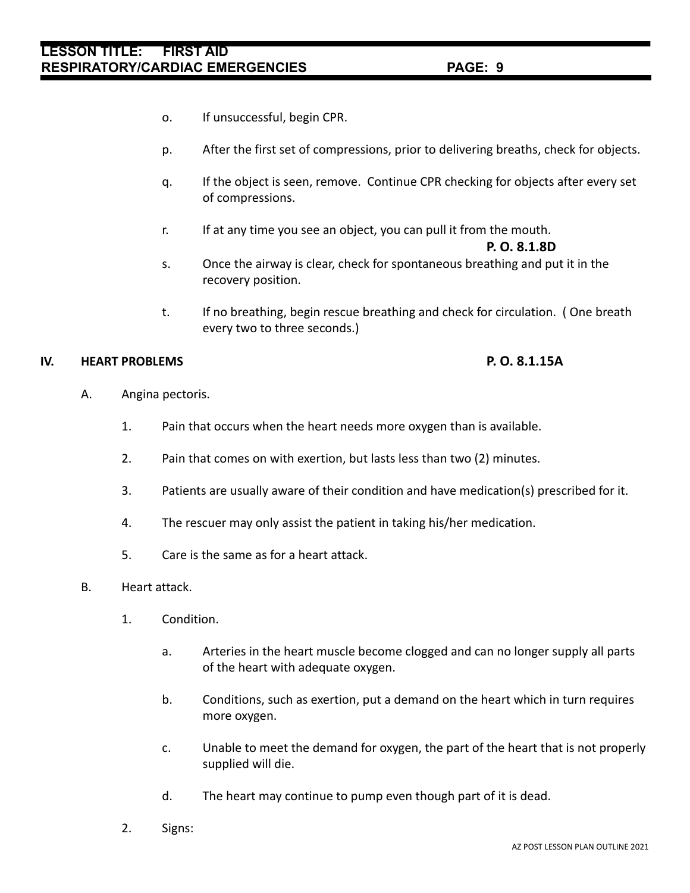- o. If unsuccessful, begin CPR.
- p. After the first set of compressions, prior to delivering breaths, check for objects.
- q. If the object is seen, remove. Continue CPR checking for objects after every set of compressions.
- r. If at any time you see an object, you can pull it from the mouth.

### **P. O. 8.1.8D**

- s. Once the airway is clear, check for spontaneous breathing and put it in the recovery position.
- t. If no breathing, begin rescue breathing and check for circulation. ( One breath every two to three seconds.)

### **IV. HEART PROBLEMS P. O. 8.1.15A**

- A. Angina pectoris.
	- 1. Pain that occurs when the heart needs more oxygen than is available.
	- 2. Pain that comes on with exertion, but lasts less than two (2) minutes.
	- 3. Patients are usually aware of their condition and have medication(s) prescribed for it.
	- 4. The rescuer may only assist the patient in taking his/her medication.
	- 5. Care is the same as for a heart attack.
- B. Heart attack.
	- 1. Condition.
		- a. Arteries in the heart muscle become clogged and can no longer supply all parts of the heart with adequate oxygen.
		- b. Conditions, such as exertion, put a demand on the heart which in turn requires more oxygen.
		- c. Unable to meet the demand for oxygen, the part of the heart that is not properly supplied will die.
		- d. The heart may continue to pump even though part of it is dead.
	- 2. Signs: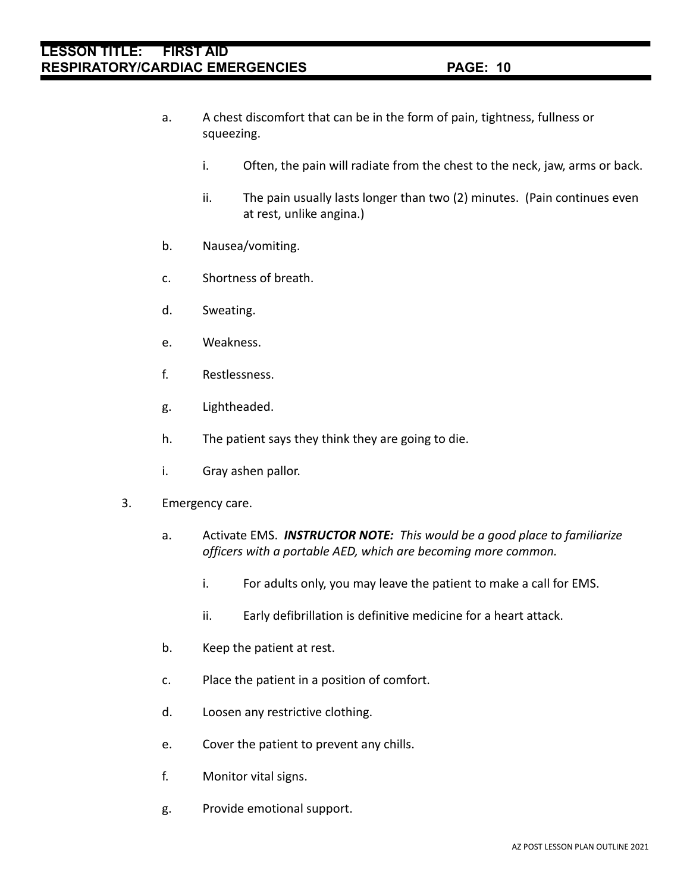- a. A chest discomfort that can be in the form of pain, tightness, fullness or squeezing.
	- i. Often, the pain will radiate from the chest to the neck, jaw, arms or back.
	- ii. The pain usually lasts longer than two (2) minutes. (Pain continues even at rest, unlike angina.)
- b. Nausea/vomiting.
- c. Shortness of breath.
- d. Sweating.
- e. Weakness.
- f. Restlessness.
- g. Lightheaded.
- h. The patient says they think they are going to die.
- i. Gray ashen pallor.
- 3. Emergency care.
	- a. Activate EMS. *INSTRUCTOR NOTE: This would be a good place to familiarize officers with a portable AED, which are becoming more common.*
		- i. For adults only, you may leave the patient to make a call for EMS.
		- ii. Early defibrillation is definitive medicine for a heart attack.
	- b. Keep the patient at rest.
	- c. Place the patient in a position of comfort.
	- d. Loosen any restrictive clothing.
	- e. Cover the patient to prevent any chills.
	- f. Monitor vital signs.
	- g. Provide emotional support.